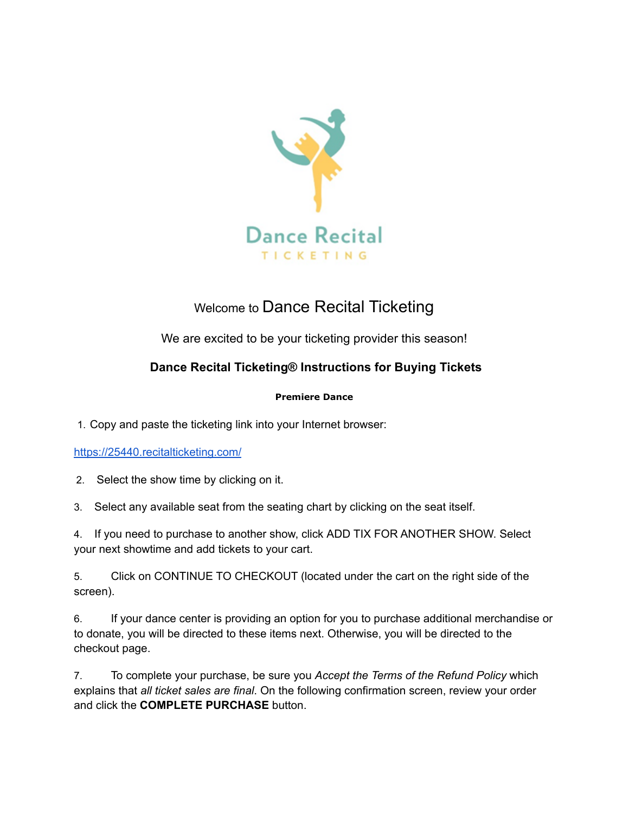

## Welcome to Dance Recital Ticketing

We are excited to be your ticketing provider this season!

## **Dance Recital Ticketing® Instructions for Buying Tickets**

## **Premiere Dance**

1. Copy and paste the ticketing link into your Internet browser:

## <https://25440.recitalticketing.com/>

2. Select the show time by clicking on it.

3. Select any available seat from the seating chart by clicking on the seat itself.

4. If you need to purchase to another show, click ADD TIX FOR ANOTHER SHOW. Select your next showtime and add tickets to your cart.

5. Click on CONTINUE TO CHECKOUT (located under the cart on the right side of the screen).

6. If your dance center is providing an option for you to purchase additional merchandise or to donate, you will be directed to these items next. Otherwise, you will be directed to the checkout page.

7. To complete your purchase, be sure you *Accept the Terms of the Refund Policy* which explains that *all ticket sales are final*. On the following confirmation screen, review your order and click the **COMPLETE PURCHASE** button.